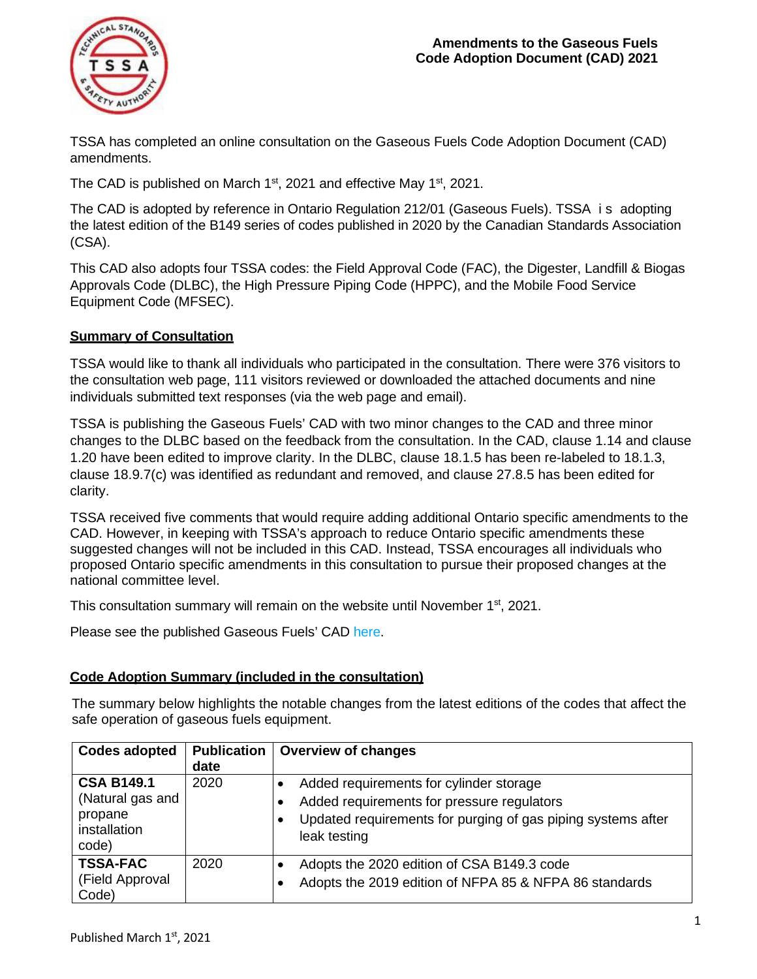

TSSA has completed an online consultation on the Gaseous Fuels Code Adoption Document (CAD) amendments.

The CAD is published on March  $1<sup>st</sup>$ , 2021 and effective May  $1<sup>st</sup>$ , 2021.

The CAD is adopted by reference in Ontario Regulation 212/01 (Gaseous Fuels). TSSA i s adopting the latest edition of the B149 series of codes published in 2020 by the Canadian Standards Association (CSA).

This CAD also adopts four TSSA codes: the Field Approval Code (FAC), the Digester, Landfill & Biogas Approvals Code (DLBC), the High Pressure Piping Code (HPPC), and the Mobile Food Service Equipment Code (MFSEC).

## **Summary of Consultation**

TSSA would like to thank all individuals who participated in the consultation. There were 376 visitors to the consultation web page, 111 visitors reviewed or downloaded the attached documents and nine individuals submitted text responses (via the web page and email).

TSSA is publishing the Gaseous Fuels' CAD with two minor changes to the CAD and three minor changes to the DLBC based on the feedback from the consultation. In the CAD, clause 1.14 and clause 1.20 have been edited to improve clarity. In the DLBC, clause 18.1.5 has been re-labeled to 18.1.3, clause 18.9.7(c) was identified as redundant and removed, and clause 27.8.5 has been edited for clarity.

TSSA received five comments that would require adding additional Ontario specific amendments to the CAD. However, in keeping with TSSA's approach to reduce Ontario specific amendments these suggested changes will not be included in this CAD. Instead, TSSA encourages all individuals who proposed Ontario specific amendments in this consultation to pursue their proposed changes at the national committee level.

This consultation summary will remain on the website until November 1<sup>st</sup>, 2021.

Please see the published Gaseous Fuels' CAD [here.](https://www.tssa.org/en/fuels/legislation-and-regulatory-information.aspx)

## **Code Adoption Summary (included in the consultation)**

The summary below highlights the notable changes from the latest editions of the codes that affect the safe operation of gaseous fuels equipment.

| <b>Codes adopted</b>             | <b>Publication</b> | <b>Overview of changes</b>                                                   |  |  |
|----------------------------------|--------------------|------------------------------------------------------------------------------|--|--|
|                                  | date               |                                                                              |  |  |
| <b>CSA B149.1</b>                | 2020               | Added requirements for cylinder storage                                      |  |  |
| (Natural gas and                 |                    | Added requirements for pressure regulators                                   |  |  |
| propane<br>installation<br>code) |                    | Updated requirements for purging of gas piping systems after<br>leak testing |  |  |
| <b>TSSA-FAC</b>                  | 2020               | Adopts the 2020 edition of CSA B149.3 code                                   |  |  |
| (Field Approval<br>Code)         |                    | Adopts the 2019 edition of NFPA 85 & NFPA 86 standards                       |  |  |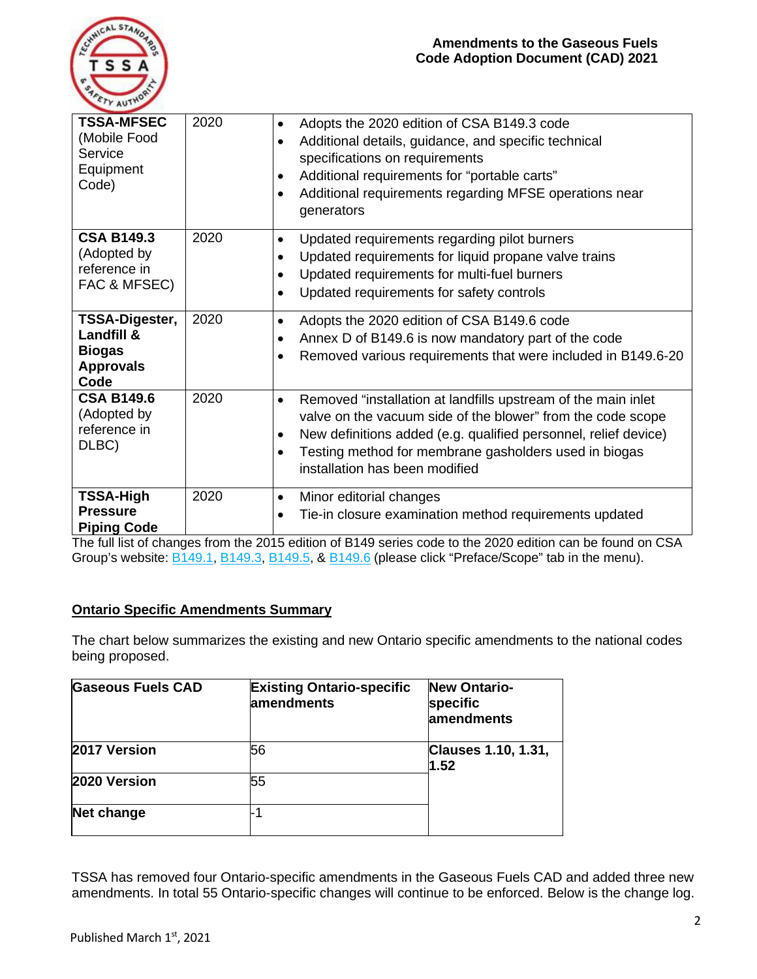

| <b>TSSA-MFSEC</b><br>(Mobile Food<br>Service<br>Equipment<br>Code)        | 2020 | Adopts the 2020 edition of CSA B149.3 code<br>$\bullet$<br>Additional details, guidance, and specific technical<br>$\bullet$<br>specifications on requirements<br>Additional requirements for "portable carts"<br>$\bullet$<br>Additional requirements regarding MFSE operations near<br>$\bullet$<br>generators                  |  |
|---------------------------------------------------------------------------|------|-----------------------------------------------------------------------------------------------------------------------------------------------------------------------------------------------------------------------------------------------------------------------------------------------------------------------------------|--|
| <b>CSA B149.3</b><br>(Adopted by<br>reference in<br>FAC & MFSEC)          | 2020 | Updated requirements regarding pilot burners<br>$\bullet$<br>Updated requirements for liquid propane valve trains<br>$\bullet$<br>Updated requirements for multi-fuel burners<br>$\bullet$<br>Updated requirements for safety controls<br>$\bullet$                                                                               |  |
| TSSA-Digester,<br>Landfill &<br><b>Biogas</b><br><b>Approvals</b><br>Code | 2020 | Adopts the 2020 edition of CSA B149.6 code<br>$\bullet$<br>Annex D of B149.6 is now mandatory part of the code<br>$\bullet$<br>Removed various requirements that were included in B149.6-20                                                                                                                                       |  |
| <b>CSA B149.6</b><br>(Adopted by<br>reference in<br>DLBC)                 | 2020 | Removed "installation at landfills upstream of the main inlet<br>$\bullet$<br>valve on the vacuum side of the blower" from the code scope<br>New definitions added (e.g. qualified personnel, relief device)<br>$\bullet$<br>Testing method for membrane gasholders used in biogas<br>$\bullet$<br>installation has been modified |  |
| <b>TSSA-High</b><br><b>Pressure</b><br><b>Piping Code</b>                 | 2020 | Minor editorial changes<br>$\bullet$<br>Tie-in closure examination method requirements updated                                                                                                                                                                                                                                    |  |

The full list of changes from the 2015 edition of B149 series code to the 2020 edition can be found on CSA Group's website: **B149.1, [B149.3,](https://store.csagroup.org/ccrz__ProductDetails?viewState=DetailView&cartId=&portalUser=&store=&cclcl=en_US&sku=CSA_B149.3%3A20_OT&gclid=CjwKCAjwnef6BRAgEiwAgv8mQSvc_ZS1ySLsg0jeCHhPzl9fiMGdADbbjRCX8xLi3RSUBqiQ9J4elBoCqf4QAvD_BwE) [B149.5,](https://store.csagroup.org/ccrz__ProductDetails?viewState=DetailView&cartId=2bb1737d-254f-4f8b-b5fb-0e6a3af7b78c&reloaded=true&portalUser=&store=&cclcl=en_US&sku=CSA%20B149.5%3A20&) & [B149.6](https://store.csagroup.org/ccrz__ProductDetails?viewState=DetailView&cartId=2bb1737d-254f-4f8b-b5fb-0e6a3af7b78c&reloaded=true&portalUser=&store=&cclcl=en_US&sku=CSA%2FANSI%20B149.6%3A20&)** (please click "Preface/Scope" tab in the menu).

## **Ontario Specific Amendments Summary**

The chart below summarizes the existing and new Ontario specific amendments to the national codes being proposed.

| <b>Gaseous Fuels CAD</b> | <b>Existing Ontario-specific</b><br>lamendments | <b>New Ontario-</b><br>specific<br>lamendments |
|--------------------------|-------------------------------------------------|------------------------------------------------|
| 2017 Version             | 56                                              | <b>Clauses 1.10, 1.31,</b><br>1.52             |
| 2020 Version             | 55                                              |                                                |
| Net change               |                                                 |                                                |

TSSA has removed four Ontario-specific amendments in the Gaseous Fuels CAD and added three new amendments. In total 55 Ontario-specific changes will continue to be enforced. Below is the change log.